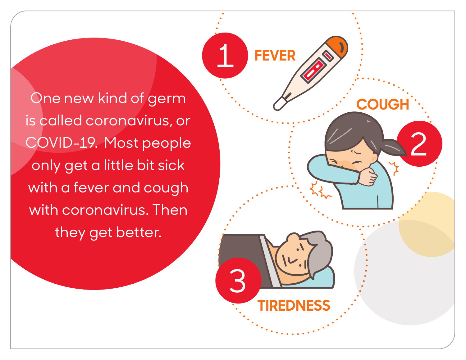One new kind of germ is called coronavirus, or COVID-19. Most people only get a little bit sick with a fever and cough with coronavirus. Then they get better.

3

**TIREDNESS**

1 **FEVER**

2

**COUG**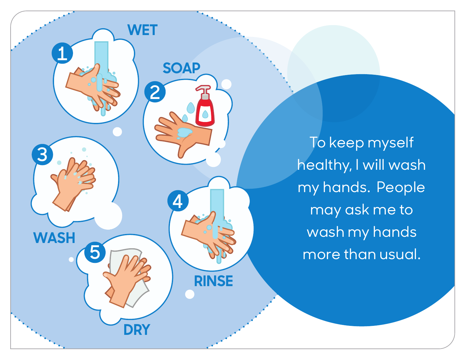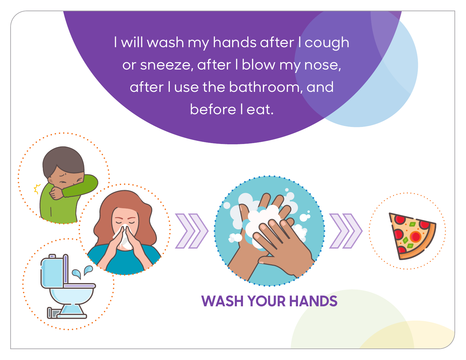I will wash my hands after I cough or sneeze, after I blow my nose, after I use the bathroom, and before I eat.

**WASH YOUR HANDS**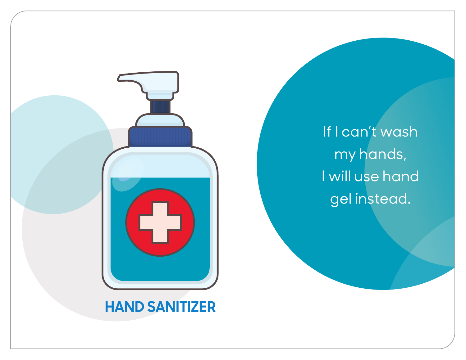

If I can't wash my hands, I will use hand gel instead.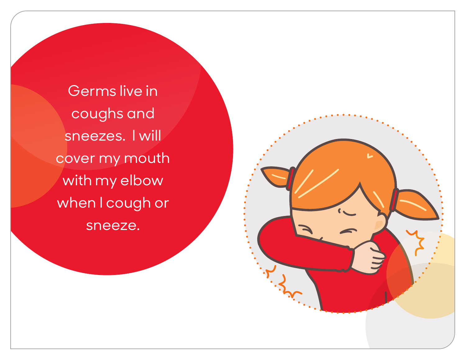Germs live in coughs and sneezes. I will cover my mouth with my elbow when I cough or sneeze.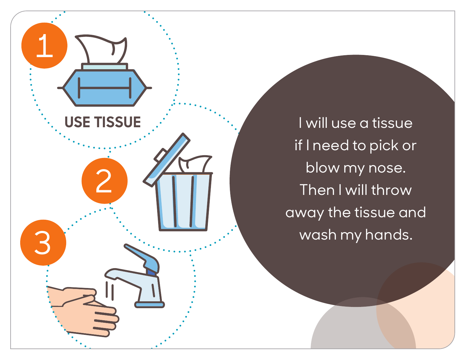

I will use a tissue if I need to pick or blow my nose. Then I will throw away the tissue and wash my hands.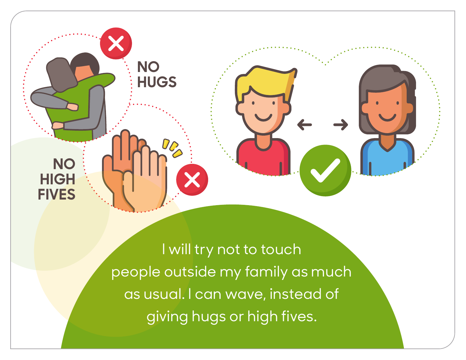



**NO** 

**HIGH** 

**FIVES**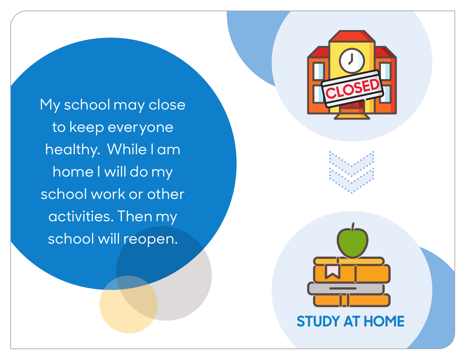

My school may close to keep everyone healthy. While I am home I will do my school work or other activities. Then my school will reopen.

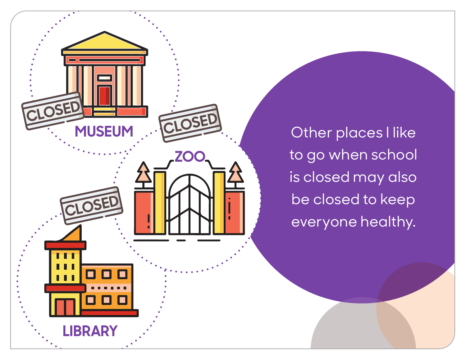

Other places I like to go when school is closed may also be closed to keep everyone healthy.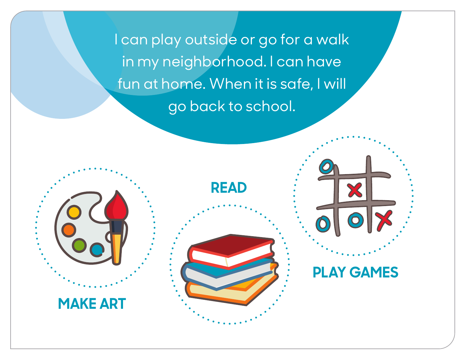I can play outside or go for a walk in my neighborhood. I can have fun at home. When it is safe, I will go back to school.



**PLAY GAMES**

**MAKE ART**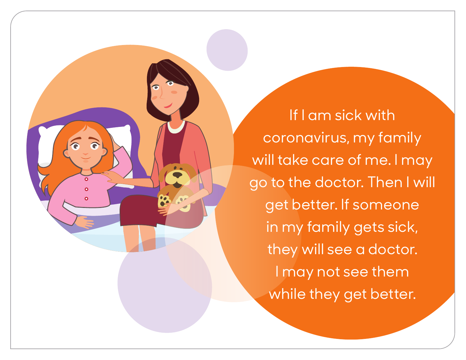

If I am sick with coronavirus, my family will take care of me. I may go to the doctor. Then I will get better. If someone in my family gets sick, they will see a doctor. I may not see them while they get better.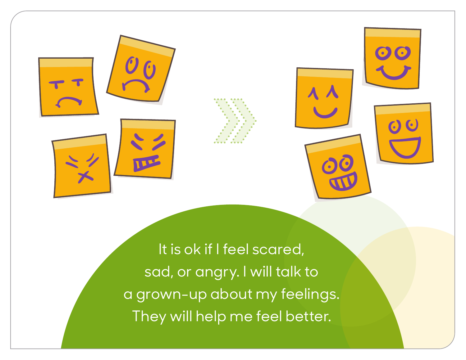

It is ok if I feel scared, sad, or angry. I will talk to a grown-up about my feelings. They will help me feel better.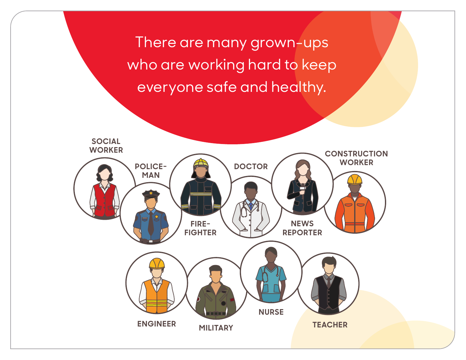There are many grown-ups who are working hard to keep everyone safe and healthy.